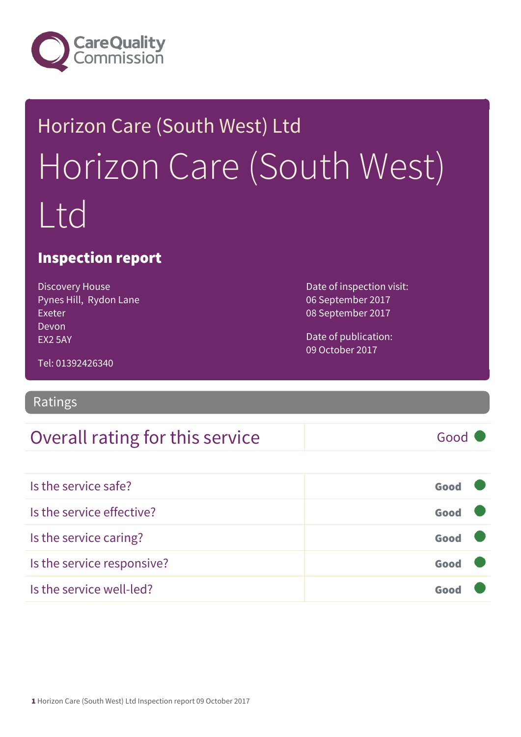

## Horizon Care (South West) Ltd Horizon Care (South West) Ltd

#### Inspection report

Discovery House Pynes Hill, Rydon Lane Exeter Devon EX2 5AY

Date of inspection visit: 06 September 2017 08 September 2017

Date of publication: 09 October 2017

Tel: 01392426340

#### Ratings

#### Overall rating for this service Good

| Is the service safe?       | Good |  |
|----------------------------|------|--|
| Is the service effective?  | Good |  |
| Is the service caring?     | Good |  |
| Is the service responsive? | Good |  |
| Is the service well-led?   |      |  |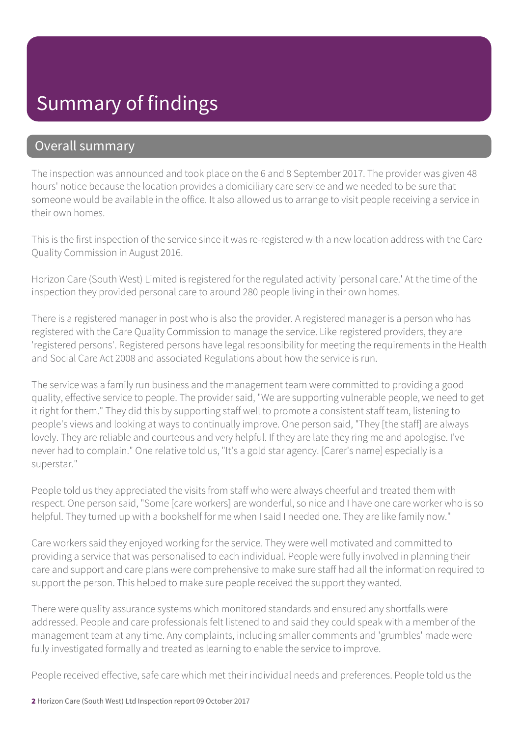#### Summary of findings

#### Overall summary

The inspection was announced and took place on the 6 and 8 September 2017. The provider was given 48 hours' notice because the location provides a domiciliary care service and we needed to be sure that someone would be available in the office. It also allowed us to arrange to visit people receiving a service in their own homes.

This is the first inspection of the service since it was re-registered with a new location address with the Care Quality Commission in August 2016.

Horizon Care (South West) Limited is registered for the regulated activity 'personal care.' At the time of the inspection they provided personal care to around 280 people living in their own homes.

There is a registered manager in post who is also the provider. A registered manager is a person who has registered with the Care Quality Commission to manage the service. Like registered providers, they are 'registered persons'. Registered persons have legal responsibility for meeting the requirements in the Health and Social Care Act 2008 and associated Regulations about how the service is run.

The service was a family run business and the management team were committed to providing a good quality, effective service to people. The provider said, "We are supporting vulnerable people, we need to get it right for them." They did this by supporting staff well to promote a consistent staff team, listening to people's views and looking at ways to continually improve. One person said, "They [the staff] are always lovely. They are reliable and courteous and very helpful. If they are late they ring me and apologise. I've never had to complain." One relative told us, "It's a gold star agency. [Carer's name] especially is a superstar."

People told us they appreciated the visits from staff who were always cheerful and treated them with respect. One person said, "Some [care workers] are wonderful, so nice and I have one care worker who is so helpful. They turned up with a bookshelf for me when I said I needed one. They are like family now."

Care workers said they enjoyed working for the service. They were well motivated and committed to providing a service that was personalised to each individual. People were fully involved in planning their care and support and care plans were comprehensive to make sure staff had all the information required to support the person. This helped to make sure people received the support they wanted.

There were quality assurance systems which monitored standards and ensured any shortfalls were addressed. People and care professionals felt listened to and said they could speak with a member of the management team at any time. Any complaints, including smaller comments and 'grumbles' made were fully investigated formally and treated as learning to enable the service to improve.

People received effective, safe care which met their individual needs and preferences. People told us the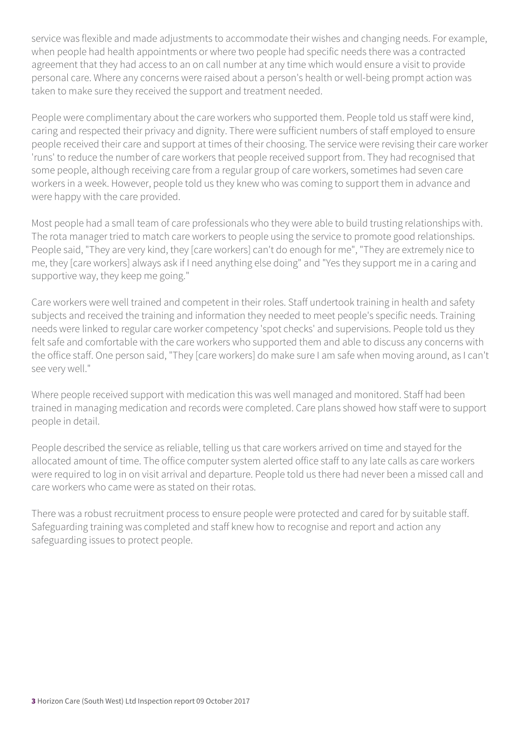service was flexible and made adjustments to accommodate their wishes and changing needs. For example, when people had health appointments or where two people had specific needs there was a contracted agreement that they had access to an on call number at any time which would ensure a visit to provide personal care. Where any concerns were raised about a person's health or well-being prompt action was taken to make sure they received the support and treatment needed.

People were complimentary about the care workers who supported them. People told us staff were kind, caring and respected their privacy and dignity. There were sufficient numbers of staff employed to ensure people received their care and support at times of their choosing. The service were revising their care worker 'runs' to reduce the number of care workers that people received support from. They had recognised that some people, although receiving care from a regular group of care workers, sometimes had seven care workers in a week. However, people told us they knew who was coming to support them in advance and were happy with the care provided.

Most people had a small team of care professionals who they were able to build trusting relationships with. The rota manager tried to match care workers to people using the service to promote good relationships. People said, "They are very kind, they [care workers] can't do enough for me", "They are extremely nice to me, they [care workers] always ask if I need anything else doing" and "Yes they support me in a caring and supportive way, they keep me going."

Care workers were well trained and competent in their roles. Staff undertook training in health and safety subjects and received the training and information they needed to meet people's specific needs. Training needs were linked to regular care worker competency 'spot checks' and supervisions. People told us they felt safe and comfortable with the care workers who supported them and able to discuss any concerns with the office staff. One person said, "They [care workers] do make sure I am safe when moving around, as I can't see very well."

Where people received support with medication this was well managed and monitored. Staff had been trained in managing medication and records were completed. Care plans showed how staff were to support people in detail.

People described the service as reliable, telling us that care workers arrived on time and stayed for the allocated amount of time. The office computer system alerted office staff to any late calls as care workers were required to log in on visit arrival and departure. People told us there had never been a missed call and care workers who came were as stated on their rotas.

There was a robust recruitment process to ensure people were protected and cared for by suitable staff. Safeguarding training was completed and staff knew how to recognise and report and action any safeguarding issues to protect people.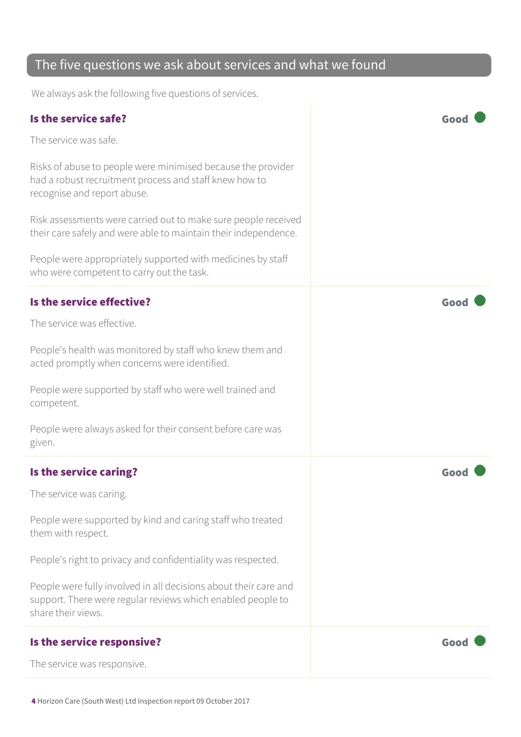#### The five questions we ask about services and what we found

We always ask the following five questions of services.

| Is the service safe?                                                                                                                                  | Goo  |
|-------------------------------------------------------------------------------------------------------------------------------------------------------|------|
| The service was safe.                                                                                                                                 |      |
| Risks of abuse to people were minimised because the provider<br>had a robust recruitment process and staff knew how to<br>recognise and report abuse. |      |
| Risk assessments were carried out to make sure people received<br>their care safely and were able to maintain their independence.                     |      |
| People were appropriately supported with medicines by staff<br>who were competent to carry out the task.                                              |      |
| Is the service effective?                                                                                                                             | Good |
| The service was effective.                                                                                                                            |      |
| People's health was monitored by staff who knew them and<br>acted promptly when concerns were identified.                                             |      |
| People were supported by staff who were well trained and<br>competent.                                                                                |      |
| People were always asked for their consent before care was<br>given.                                                                                  |      |
| Is the service caring?                                                                                                                                | Good |
| The service was caring.                                                                                                                               |      |
| People were supported by kind and caring staff who treated<br>them with respect.                                                                      |      |
| People's right to privacy and confidentiality was respected.                                                                                          |      |
| People were fully involved in all decisions about their care and<br>support. There were regular reviews which enabled people to<br>share their views. |      |
| Is the service responsive?                                                                                                                            | Good |
| The service was responsive.                                                                                                                           |      |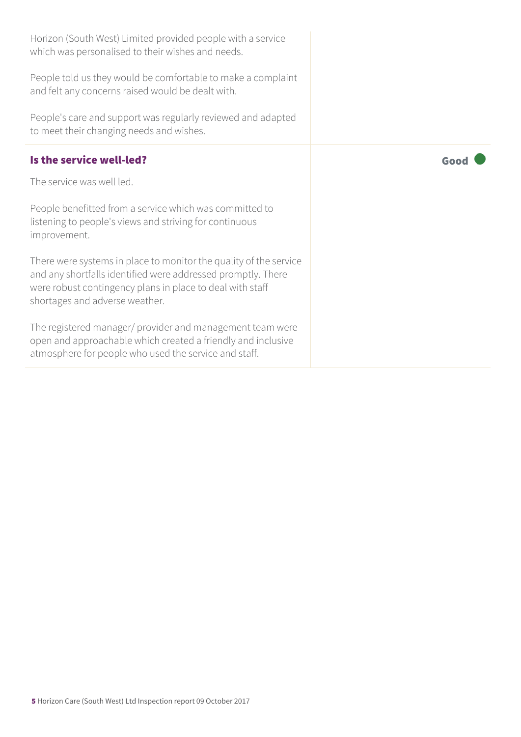| Horizon (South West) Limited provided people with a service<br>which was personalised to their wishes and needs.                                                                                                                 |      |
|----------------------------------------------------------------------------------------------------------------------------------------------------------------------------------------------------------------------------------|------|
| People told us they would be comfortable to make a complaint<br>and felt any concerns raised would be dealt with.                                                                                                                |      |
| People's care and support was regularly reviewed and adapted<br>to meet their changing needs and wishes.                                                                                                                         |      |
| Is the service well-led?                                                                                                                                                                                                         | Good |
| The service was well led.                                                                                                                                                                                                        |      |
| People benefitted from a service which was committed to<br>listening to people's views and striving for continuous<br>improvement.                                                                                               |      |
| There were systems in place to monitor the quality of the service<br>and any shortfalls identified were addressed promptly. There<br>were robust contingency plans in place to deal with staff<br>shortages and adverse weather. |      |
| The registered manager/ provider and management team were<br>open and approachable which created a friendly and inclusive<br>atmosphere for people who used the service and staff.                                               |      |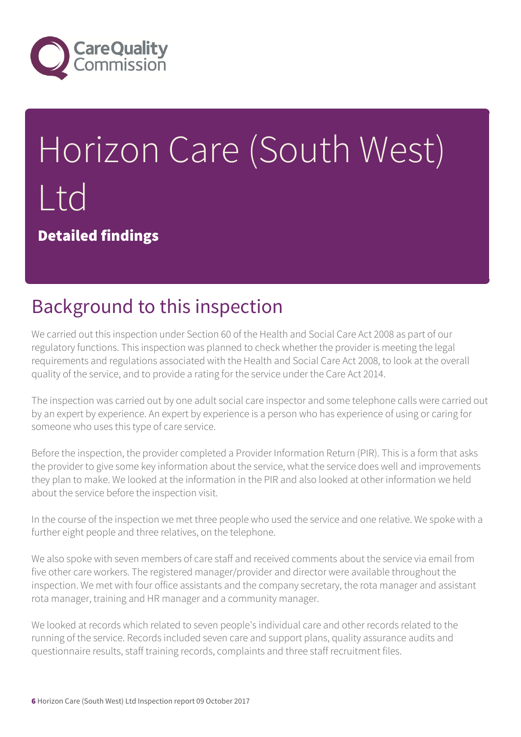

# Horizon Care (South West) Ltd

Detailed findings

## Background to this inspection

We carried out this inspection under Section 60 of the Health and Social Care Act 2008 as part of our regulatory functions. This inspection was planned to check whether the provider is meeting the legal requirements and regulations associated with the Health and Social Care Act 2008, to look at the overall quality of the service, and to provide a rating for the service under the Care Act 2014.

The inspection was carried out by one adult social care inspector and some telephone calls were carried out by an expert by experience. An expert by experience is a person who has experience of using or caring for someone who uses this type of care service.

Before the inspection, the provider completed a Provider Information Return (PIR). This is a form that asks the provider to give some key information about the service, what the service does well and improvements they plan to make. We looked at the information in the PIR and also looked at other information we held about the service before the inspection visit.

In the course of the inspection we met three people who used the service and one relative. We spoke with a further eight people and three relatives, on the telephone.

We also spoke with seven members of care staff and received comments about the service via email from five other care workers. The registered manager/provider and director were available throughout the inspection. We met with four office assistants and the company secretary, the rota manager and assistant rota manager, training and HR manager and a community manager.

We looked at records which related to seven people's individual care and other records related to the running of the service. Records included seven care and support plans, quality assurance audits and questionnaire results, staff training records, complaints and three staff recruitment files.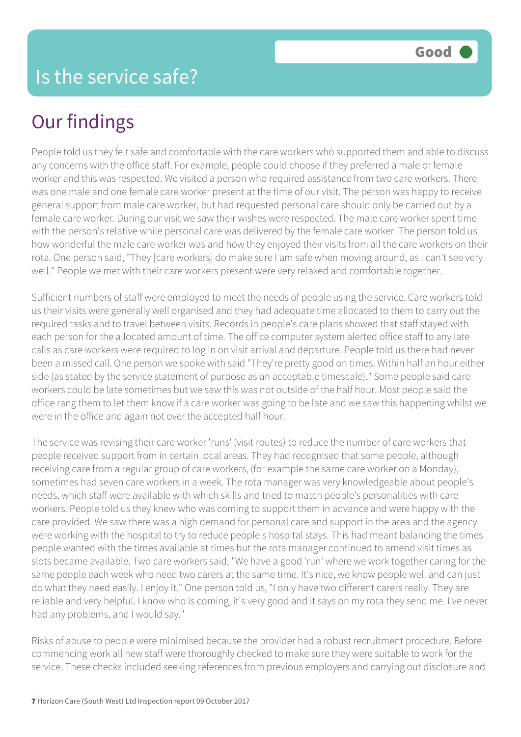## Our findings

People told us they felt safe and comfortable with the care workers who supported them and able to discuss any concerns with the office staff. For example, people could choose if they preferred a male or female worker and this was respected. We visited a person who required assistance from two care workers. There was one male and one female care worker present at the time of our visit. The person was happy to receive general support from male care worker, but had requested personal care should only be carried out by a female care worker. During our visit we saw their wishes were respected. The male care worker spent time with the person's relative while personal care was delivered by the female care worker. The person told us how wonderful the male care worker was and how they enjoyed their visits from all the care workers on their rota. One person said, "They [care workers] do make sure I am safe when moving around, as I can't see very well." People we met with their care workers present were very relaxed and comfortable together.

Sufficient numbers of staff were employed to meet the needs of people using the service. Care workers told us their visits were generally well organised and they had adequate time allocated to them to carry out the required tasks and to travel between visits. Records in people's care plans showed that staff stayed with each person for the allocated amount of time. The office computer system alerted office staff to any late calls as care workers were required to log in on visit arrival and departure. People told us there had never been a missed call. One person we spoke with said "They're pretty good on times. Within half an hour either side (as stated by the service statement of purpose as an acceptable timescale)." Some people said care workers could be late sometimes but we saw this was not outside of the half hour. Most people said the office rang them to let them know if a care worker was going to be late and we saw this happening whilst we were in the office and again not over the accepted half hour.

The service was revising their care worker 'runs' (visit routes) to reduce the number of care workers that people received support from in certain local areas. They had recognised that some people, although receiving care from a regular group of care workers, (for example the same care worker on a Monday), sometimes had seven care workers in a week. The rota manager was very knowledgeable about people's needs, which staff were available with which skills and tried to match people's personalities with care workers. People told us they knew who was coming to support them in advance and were happy with the care provided. We saw there was a high demand for personal care and support in the area and the agency were working with the hospital to try to reduce people's hospital stays. This had meant balancing the times people wanted with the times available at times but the rota manager continued to amend visit times as slots became available. Two care workers said, "We have a good 'run' where we work together caring for the same people each week who need two carers at the same time. It's nice, we know people well and can just do what they need easily. I enjoy it." One person told us, "I only have two different carers really. They are reliable and very helpful. I know who is coming, it's very good and it says on my rota they send me. I've never had any problems, and I would say."

Risks of abuse to people were minimised because the provider had a robust recruitment procedure. Before commencing work all new staff were thoroughly checked to make sure they were suitable to work for the service. These checks included seeking references from previous employers and carrying out disclosure and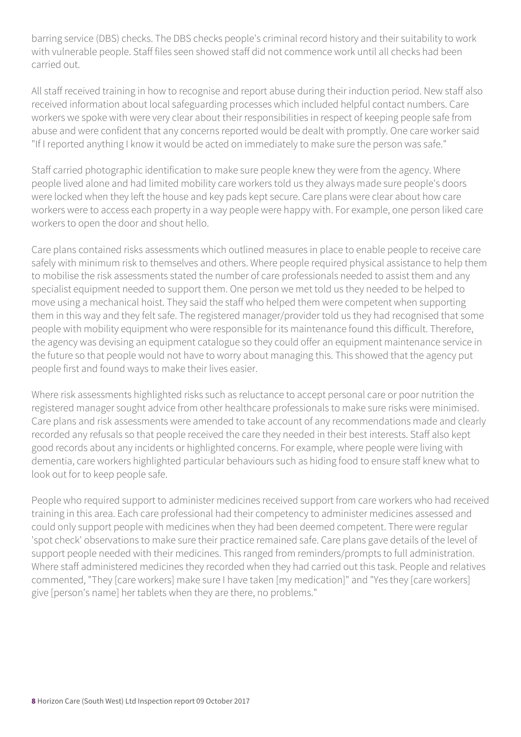barring service (DBS) checks. The DBS checks people's criminal record history and their suitability to work with vulnerable people. Staff files seen showed staff did not commence work until all checks had been carried out.

All staff received training in how to recognise and report abuse during their induction period. New staff also received information about local safeguarding processes which included helpful contact numbers. Care workers we spoke with were very clear about their responsibilities in respect of keeping people safe from abuse and were confident that any concerns reported would be dealt with promptly. One care worker said "If I reported anything I know it would be acted on immediately to make sure the person was safe."

Staff carried photographic identification to make sure people knew they were from the agency. Where people lived alone and had limited mobility care workers told us they always made sure people's doors were locked when they left the house and key pads kept secure. Care plans were clear about how care workers were to access each property in a way people were happy with. For example, one person liked care workers to open the door and shout hello.

Care plans contained risks assessments which outlined measures in place to enable people to receive care safely with minimum risk to themselves and others. Where people required physical assistance to help them to mobilise the risk assessments stated the number of care professionals needed to assist them and any specialist equipment needed to support them. One person we met told us they needed to be helped to move using a mechanical hoist. They said the staff who helped them were competent when supporting them in this way and they felt safe. The registered manager/provider told us they had recognised that some people with mobility equipment who were responsible for its maintenance found this difficult. Therefore, the agency was devising an equipment catalogue so they could offer an equipment maintenance service in the future so that people would not have to worry about managing this. This showed that the agency put people first and found ways to make their lives easier.

Where risk assessments highlighted risks such as reluctance to accept personal care or poor nutrition the registered manager sought advice from other healthcare professionals to make sure risks were minimised. Care plans and risk assessments were amended to take account of any recommendations made and clearly recorded any refusals so that people received the care they needed in their best interests. Staff also kept good records about any incidents or highlighted concerns. For example, where people were living with dementia, care workers highlighted particular behaviours such as hiding food to ensure staff knew what to look out for to keep people safe.

People who required support to administer medicines received support from care workers who had received training in this area. Each care professional had their competency to administer medicines assessed and could only support people with medicines when they had been deemed competent. There were regular 'spot check' observations to make sure their practice remained safe. Care plans gave details of the level of support people needed with their medicines. This ranged from reminders/prompts to full administration. Where staff administered medicines they recorded when they had carried out this task. People and relatives commented, "They [care workers] make sure I have taken [my medication]" and "Yes they [care workers] give [person's name] her tablets when they are there, no problems."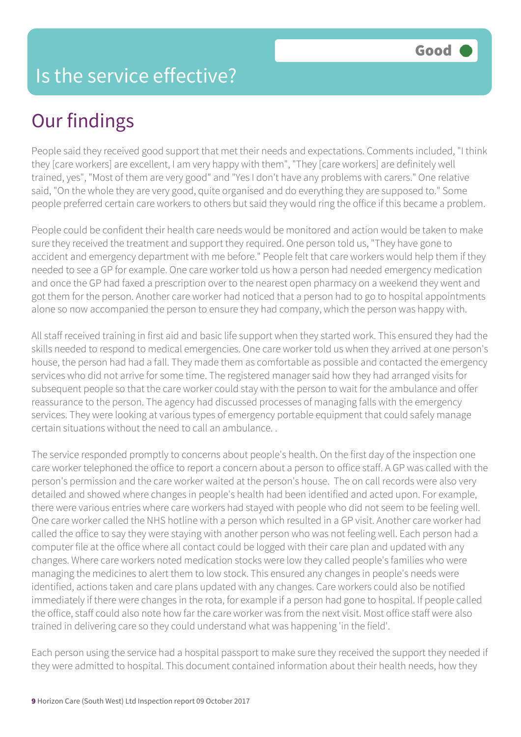#### Is the service effective?

## Our findings

People said they received good support that met their needs and expectations. Comments included, "I think they [care workers] are excellent, I am very happy with them", "They [care workers] are definitely well trained, yes", "Most of them are very good" and "Yes I don't have any problems with carers." One relative said, "On the whole they are very good, quite organised and do everything they are supposed to." Some people preferred certain care workers to others but said they would ring the office if this became a problem.

People could be confident their health care needs would be monitored and action would be taken to make sure they received the treatment and support they required. One person told us, "They have gone to accident and emergency department with me before." People felt that care workers would help them if they needed to see a GP for example. One care worker told us how a person had needed emergency medication and once the GP had faxed a prescription over to the nearest open pharmacy on a weekend they went and got them for the person. Another care worker had noticed that a person had to go to hospital appointments alone so now accompanied the person to ensure they had company, which the person was happy with.

All staff received training in first aid and basic life support when they started work. This ensured they had the skills needed to respond to medical emergencies. One care worker told us when they arrived at one person's house, the person had had a fall. They made them as comfortable as possible and contacted the emergency services who did not arrive for some time. The registered manager said how they had arranged visits for subsequent people so that the care worker could stay with the person to wait for the ambulance and offer reassurance to the person. The agency had discussed processes of managing falls with the emergency services. They were looking at various types of emergency portable equipment that could safely manage certain situations without the need to call an ambulance. .

The service responded promptly to concerns about people's health. On the first day of the inspection one care worker telephoned the office to report a concern about a person to office staff. A GP was called with the person's permission and the care worker waited at the person's house. The on call records were also very detailed and showed where changes in people's health had been identified and acted upon. For example, there were various entries where care workers had stayed with people who did not seem to be feeling well. One care worker called the NHS hotline with a person which resulted in a GP visit. Another care worker had called the office to say they were staying with another person who was not feeling well. Each person had a computer file at the office where all contact could be logged with their care plan and updated with any changes. Where care workers noted medication stocks were low they called people's families who were managing the medicines to alert them to low stock. This ensured any changes in people's needs were identified, actions taken and care plans updated with any changes. Care workers could also be notified immediately if there were changes in the rota, for example if a person had gone to hospital. If people called the office, staff could also note how far the care worker was from the next visit. Most office staff were also trained in delivering care so they could understand what was happening 'in the field'.

Each person using the service had a hospital passport to make sure they received the support they needed if they were admitted to hospital. This document contained information about their health needs, how they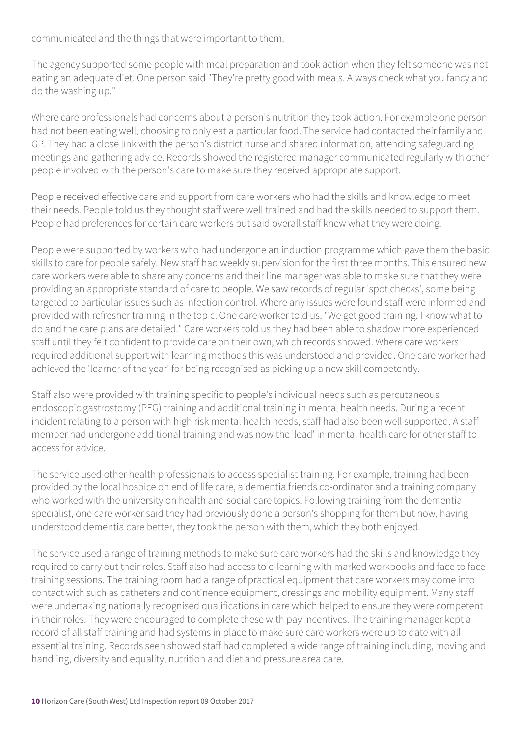communicated and the things that were important to them.

The agency supported some people with meal preparation and took action when they felt someone was not eating an adequate diet. One person said "They're pretty good with meals. Always check what you fancy and do the washing up."

Where care professionals had concerns about a person's nutrition they took action. For example one person had not been eating well, choosing to only eat a particular food. The service had contacted their family and GP. They had a close link with the person's district nurse and shared information, attending safeguarding meetings and gathering advice. Records showed the registered manager communicated regularly with other people involved with the person's care to make sure they received appropriate support.

People received effective care and support from care workers who had the skills and knowledge to meet their needs. People told us they thought staff were well trained and had the skills needed to support them. People had preferences for certain care workers but said overall staff knew what they were doing.

People were supported by workers who had undergone an induction programme which gave them the basic skills to care for people safely. New staff had weekly supervision for the first three months. This ensured new care workers were able to share any concerns and their line manager was able to make sure that they were providing an appropriate standard of care to people. We saw records of regular 'spot checks', some being targeted to particular issues such as infection control. Where any issues were found staff were informed and provided with refresher training in the topic. One care worker told us, "We get good training. I know what to do and the care plans are detailed." Care workers told us they had been able to shadow more experienced staff until they felt confident to provide care on their own, which records showed. Where care workers required additional support with learning methods this was understood and provided. One care worker had achieved the 'learner of the year' for being recognised as picking up a new skill competently.

Staff also were provided with training specific to people's individual needs such as percutaneous endoscopic gastrostomy (PEG) training and additional training in mental health needs. During a recent incident relating to a person with high risk mental health needs, staff had also been well supported. A staff member had undergone additional training and was now the 'lead' in mental health care for other staff to access for advice.

The service used other health professionals to access specialist training. For example, training had been provided by the local hospice on end of life care, a dementia friends co-ordinator and a training company who worked with the university on health and social care topics. Following training from the dementia specialist, one care worker said they had previously done a person's shopping for them but now, having understood dementia care better, they took the person with them, which they both enjoyed.

The service used a range of training methods to make sure care workers had the skills and knowledge they required to carry out their roles. Staff also had access to e-learning with marked workbooks and face to face training sessions. The training room had a range of practical equipment that care workers may come into contact with such as catheters and continence equipment, dressings and mobility equipment. Many staff were undertaking nationally recognised qualifications in care which helped to ensure they were competent in their roles. They were encouraged to complete these with pay incentives. The training manager kept a record of all staff training and had systems in place to make sure care workers were up to date with all essential training. Records seen showed staff had completed a wide range of training including, moving and handling, diversity and equality, nutrition and diet and pressure area care.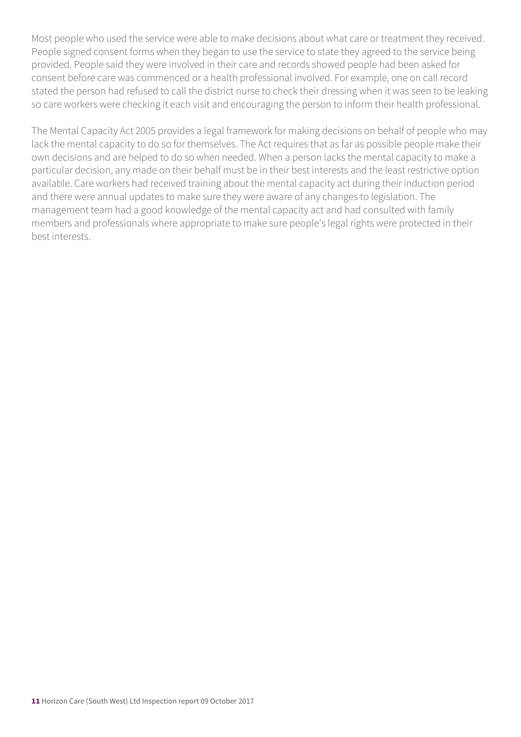Most people who used the service were able to make decisions about what care or treatment they received. People signed consent forms when they began to use the service to state they agreed to the service being provided. People said they were involved in their care and records showed people had been asked for consent before care was commenced or a health professional involved. For example, one on call record stated the person had refused to call the district nurse to check their dressing when it was seen to be leaking so care workers were checking it each visit and encouraging the person to inform their health professional.

The Mental Capacity Act 2005 provides a legal framework for making decisions on behalf of people who may lack the mental capacity to do so for themselves. The Act requires that as far as possible people make their own decisions and are helped to do so when needed. When a person lacks the mental capacity to make a particular decision, any made on their behalf must be in their best interests and the least restrictive option available. Care workers had received training about the mental capacity act during their induction period and there were annual updates to make sure they were aware of any changes to legislation. The management team had a good knowledge of the mental capacity act and had consulted with family members and professionals where appropriate to make sure people's legal rights were protected in their best interests.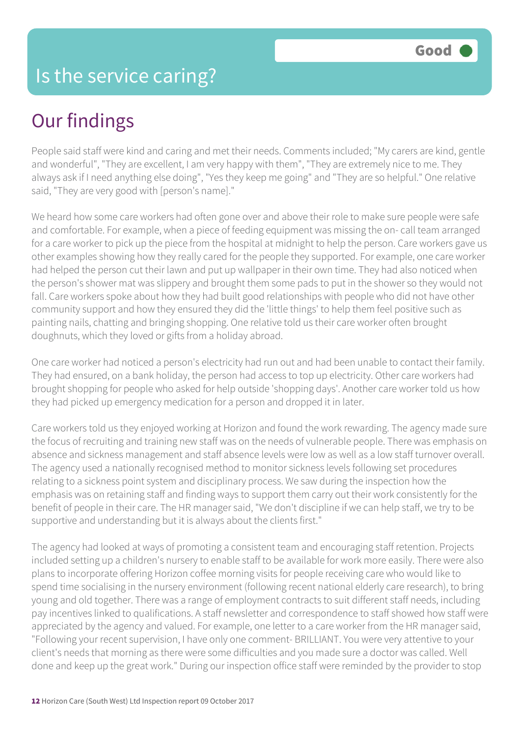## Our findings

People said staff were kind and caring and met their needs. Comments included; "My carers are kind, gentle and wonderful", "They are excellent, I am very happy with them", "They are extremely nice to me. They always ask if I need anything else doing", "Yes they keep me going" and "They are so helpful." One relative said, "They are very good with [person's name]."

We heard how some care workers had often gone over and above their role to make sure people were safe and comfortable. For example, when a piece of feeding equipment was missing the on- call team arranged for a care worker to pick up the piece from the hospital at midnight to help the person. Care workers gave us other examples showing how they really cared for the people they supported. For example, one care worker had helped the person cut their lawn and put up wallpaper in their own time. They had also noticed when the person's shower mat was slippery and brought them some pads to put in the shower so they would not fall. Care workers spoke about how they had built good relationships with people who did not have other community support and how they ensured they did the 'little things' to help them feel positive such as painting nails, chatting and bringing shopping. One relative told us their care worker often brought doughnuts, which they loved or gifts from a holiday abroad.

One care worker had noticed a person's electricity had run out and had been unable to contact their family. They had ensured, on a bank holiday, the person had access to top up electricity. Other care workers had brought shopping for people who asked for help outside 'shopping days'. Another care worker told us how they had picked up emergency medication for a person and dropped it in later.

Care workers told us they enjoyed working at Horizon and found the work rewarding. The agency made sure the focus of recruiting and training new staff was on the needs of vulnerable people. There was emphasis on absence and sickness management and staff absence levels were low as well as a low staff turnover overall. The agency used a nationally recognised method to monitor sickness levels following set procedures relating to a sickness point system and disciplinary process. We saw during the inspection how the emphasis was on retaining staff and finding ways to support them carry out their work consistently for the benefit of people in their care. The HR manager said, "We don't discipline if we can help staff, we try to be supportive and understanding but it is always about the clients first."

The agency had looked at ways of promoting a consistent team and encouraging staff retention. Projects included setting up a children's nursery to enable staff to be available for work more easily. There were also plans to incorporate offering Horizon coffee morning visits for people receiving care who would like to spend time socialising in the nursery environment (following recent national elderly care research), to bring young and old together. There was a range of employment contracts to suit different staff needs, including pay incentives linked to qualifications. A staff newsletter and correspondence to staff showed how staff were appreciated by the agency and valued. For example, one letter to a care worker from the HR manager said, "Following your recent supervision, I have only one comment- BRILLIANT. You were very attentive to your client's needs that morning as there were some difficulties and you made sure a doctor was called. Well done and keep up the great work." During our inspection office staff were reminded by the provider to stop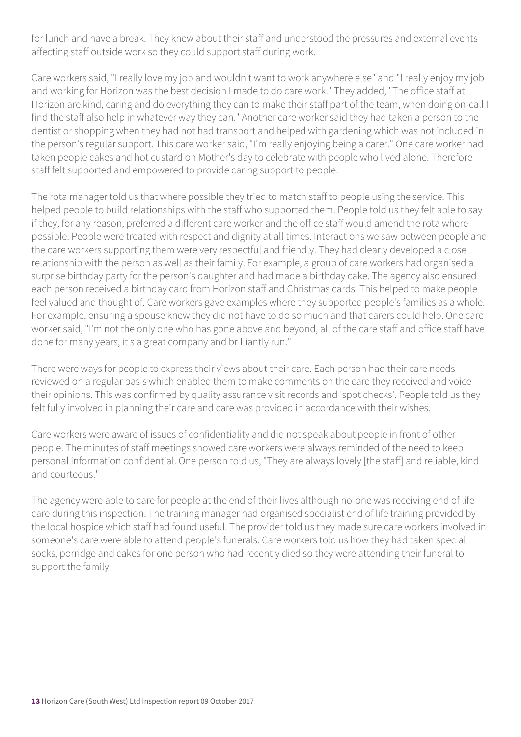for lunch and have a break. They knew about their staff and understood the pressures and external events affecting staff outside work so they could support staff during work.

Care workers said, "I really love my job and wouldn't want to work anywhere else" and "I really enjoy my job and working for Horizon was the best decision I made to do care work." They added, "The office staff at Horizon are kind, caring and do everything they can to make their staff part of the team, when doing on-call I find the staff also help in whatever way they can." Another care worker said they had taken a person to the dentist or shopping when they had not had transport and helped with gardening which was not included in the person's regular support. This care worker said, "I'm really enjoying being a carer." One care worker had taken people cakes and hot custard on Mother's day to celebrate with people who lived alone. Therefore staff felt supported and empowered to provide caring support to people.

The rota manager told us that where possible they tried to match staff to people using the service. This helped people to build relationships with the staff who supported them. People told us they felt able to say if they, for any reason, preferred a different care worker and the office staff would amend the rota where possible. People were treated with respect and dignity at all times. Interactions we saw between people and the care workers supporting them were very respectful and friendly. They had clearly developed a close relationship with the person as well as their family. For example, a group of care workers had organised a surprise birthday party for the person's daughter and had made a birthday cake. The agency also ensured each person received a birthday card from Horizon staff and Christmas cards. This helped to make people feel valued and thought of. Care workers gave examples where they supported people's families as a whole. For example, ensuring a spouse knew they did not have to do so much and that carers could help. One care worker said, "I'm not the only one who has gone above and beyond, all of the care staff and office staff have done for many years, it's a great company and brilliantly run."

There were ways for people to express their views about their care. Each person had their care needs reviewed on a regular basis which enabled them to make comments on the care they received and voice their opinions. This was confirmed by quality assurance visit records and 'spot checks'. People told us they felt fully involved in planning their care and care was provided in accordance with their wishes.

Care workers were aware of issues of confidentiality and did not speak about people in front of other people. The minutes of staff meetings showed care workers were always reminded of the need to keep personal information confidential. One person told us, "They are always lovely [the staff] and reliable, kind and courteous."

The agency were able to care for people at the end of their lives although no-one was receiving end of life care during this inspection. The training manager had organised specialist end of life training provided by the local hospice which staff had found useful. The provider told us they made sure care workers involved in someone's care were able to attend people's funerals. Care workers told us how they had taken special socks, porridge and cakes for one person who had recently died so they were attending their funeral to support the family.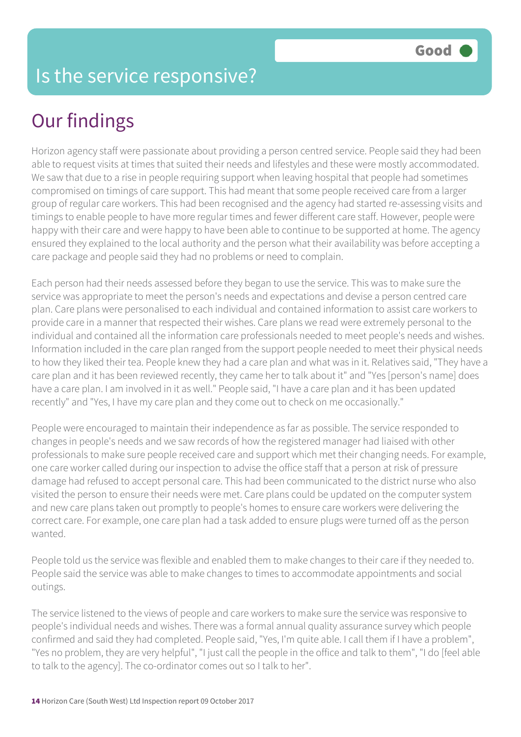## Our findings

Horizon agency staff were passionate about providing a person centred service. People said they had been able to request visits at times that suited their needs and lifestyles and these were mostly accommodated. We saw that due to a rise in people requiring support when leaving hospital that people had sometimes compromised on timings of care support. This had meant that some people received care from a larger group of regular care workers. This had been recognised and the agency had started re-assessing visits and timings to enable people to have more regular times and fewer different care staff. However, people were happy with their care and were happy to have been able to continue to be supported at home. The agency ensured they explained to the local authority and the person what their availability was before accepting a care package and people said they had no problems or need to complain.

Each person had their needs assessed before they began to use the service. This was to make sure the service was appropriate to meet the person's needs and expectations and devise a person centred care plan. Care plans were personalised to each individual and contained information to assist care workers to provide care in a manner that respected their wishes. Care plans we read were extremely personal to the individual and contained all the information care professionals needed to meet people's needs and wishes. Information included in the care plan ranged from the support people needed to meet their physical needs to how they liked their tea. People knew they had a care plan and what was in it. Relatives said, "They have a care plan and it has been reviewed recently, they came her to talk about it" and "Yes [person's name] does have a care plan. I am involved in it as well." People said, "I have a care plan and it has been updated recently" and "Yes, I have my care plan and they come out to check on me occasionally."

People were encouraged to maintain their independence as far as possible. The service responded to changes in people's needs and we saw records of how the registered manager had liaised with other professionals to make sure people received care and support which met their changing needs. For example, one care worker called during our inspection to advise the office staff that a person at risk of pressure damage had refused to accept personal care. This had been communicated to the district nurse who also visited the person to ensure their needs were met. Care plans could be updated on the computer system and new care plans taken out promptly to people's homes to ensure care workers were delivering the correct care. For example, one care plan had a task added to ensure plugs were turned off as the person wanted.

People told us the service was flexible and enabled them to make changes to their care if they needed to. People said the service was able to make changes to times to accommodate appointments and social outings.

The service listened to the views of people and care workers to make sure the service was responsive to people's individual needs and wishes. There was a formal annual quality assurance survey which people confirmed and said they had completed. People said, "Yes, I'm quite able. I call them if I have a problem", "Yes no problem, they are very helpful", "I just call the people in the office and talk to them", "I do [feel able to talk to the agency]. The co-ordinator comes out so I talk to her".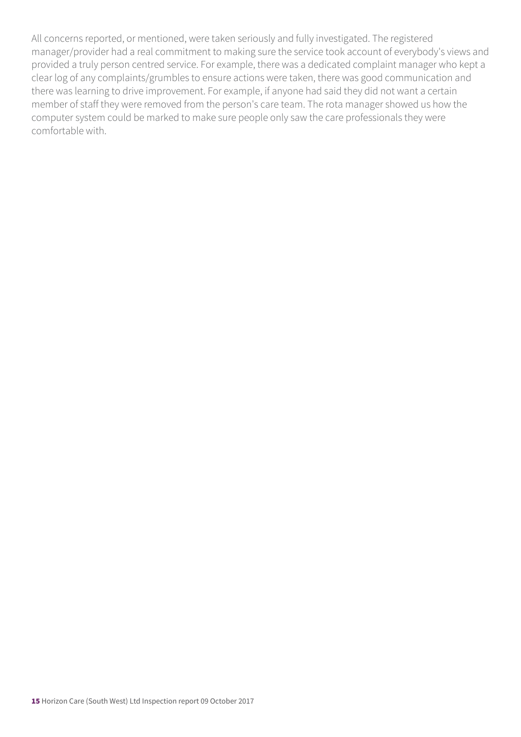All concerns reported, or mentioned, were taken seriously and fully investigated. The registered manager/provider had a real commitment to making sure the service took account of everybody's views and provided a truly person centred service. For example, there was a dedicated complaint manager who kept a clear log of any complaints/grumbles to ensure actions were taken, there was good communication and there was learning to drive improvement. For example, if anyone had said they did not want a certain member of staff they were removed from the person's care team. The rota manager showed us how the computer system could be marked to make sure people only saw the care professionals they were comfortable with.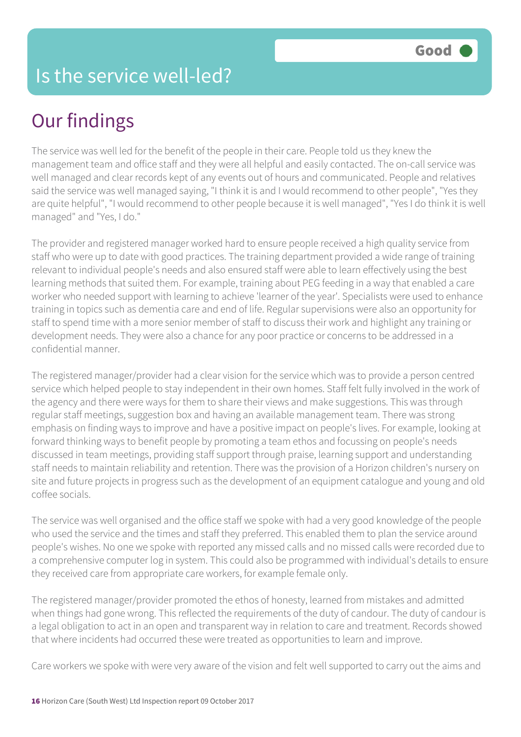#### Is the service well-led?

## Our findings

The service was well led for the benefit of the people in their care. People told us they knew the management team and office staff and they were all helpful and easily contacted. The on-call service was well managed and clear records kept of any events out of hours and communicated. People and relatives said the service was well managed saying, "I think it is and I would recommend to other people", "Yes they are quite helpful", "I would recommend to other people because it is well managed", "Yes I do think it is well managed" and "Yes, I do."

The provider and registered manager worked hard to ensure people received a high quality service from staff who were up to date with good practices. The training department provided a wide range of training relevant to individual people's needs and also ensured staff were able to learn effectively using the best learning methods that suited them. For example, training about PEG feeding in a way that enabled a care worker who needed support with learning to achieve 'learner of the year'. Specialists were used to enhance training in topics such as dementia care and end of life. Regular supervisions were also an opportunity for staff to spend time with a more senior member of staff to discuss their work and highlight any training or development needs. They were also a chance for any poor practice or concerns to be addressed in a confidential manner.

The registered manager/provider had a clear vision for the service which was to provide a person centred service which helped people to stay independent in their own homes. Staff felt fully involved in the work of the agency and there were ways for them to share their views and make suggestions. This was through regular staff meetings, suggestion box and having an available management team. There was strong emphasis on finding ways to improve and have a positive impact on people's lives. For example, looking at forward thinking ways to benefit people by promoting a team ethos and focussing on people's needs discussed in team meetings, providing staff support through praise, learning support and understanding staff needs to maintain reliability and retention. There was the provision of a Horizon children's nursery on site and future projects in progress such as the development of an equipment catalogue and young and old coffee socials.

The service was well organised and the office staff we spoke with had a very good knowledge of the people who used the service and the times and staff they preferred. This enabled them to plan the service around people's wishes. No one we spoke with reported any missed calls and no missed calls were recorded due to a comprehensive computer log in system. This could also be programmed with individual's details to ensure they received care from appropriate care workers, for example female only.

The registered manager/provider promoted the ethos of honesty, learned from mistakes and admitted when things had gone wrong. This reflected the requirements of the duty of candour. The duty of candour is a legal obligation to act in an open and transparent way in relation to care and treatment. Records showed that where incidents had occurred these were treated as opportunities to learn and improve.

Care workers we spoke with were very aware of the vision and felt well supported to carry out the aims and